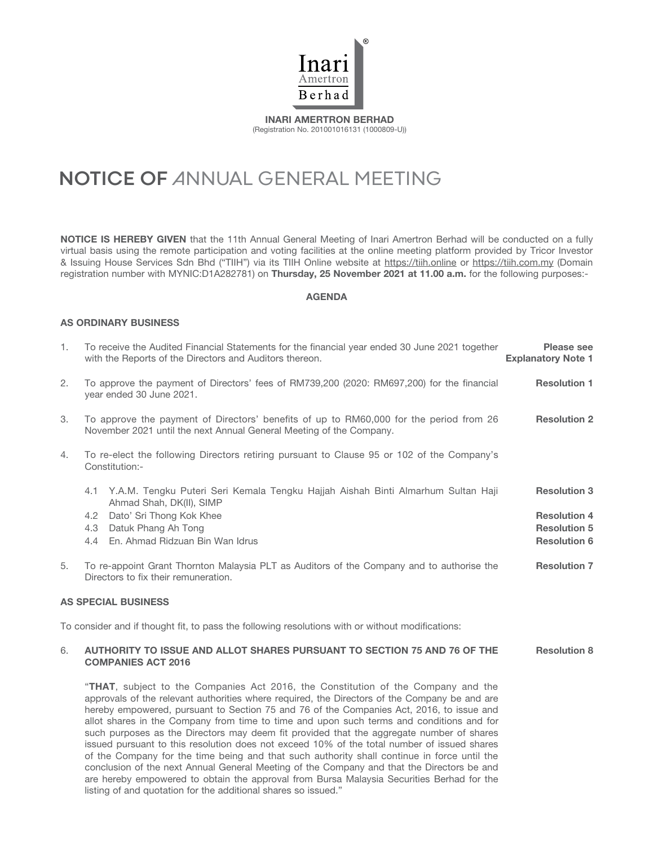

INARI AMERTRON BERHAD (Registration No. 201001016131 (1000809-U))

# **NOTICE OF** ANNUAL GENERAL MEETING

NOTICE IS HEREBY GIVEN that the 11th Annual General Meeting of Inari Amertron Berhad will be conducted on a fully virtual basis using the remote participation and voting facilities at the online meeting platform provided by Tricor Investor & Issuing House Services Sdn Bhd ("TIIH") via its TIIH Online website at https://tiih.online or https://tiih.com.my (Domain registration number with MYNIC:D1A282781) on Thursday, 25 November 2021 at 11.00 a.m. for the following purposes:-

# AGENDA

# AS ORDINARY BUSINESS

| 1.                         | To receive the Audited Financial Statements for the financial year ended 30 June 2021 together<br>with the Reports of the Directors and Auditors thereon.     | Please see<br><b>Explanatory Note 1</b> |
|----------------------------|---------------------------------------------------------------------------------------------------------------------------------------------------------------|-----------------------------------------|
| 2.                         | To approve the payment of Directors' fees of RM739,200 (2020: RM697,200) for the financial<br>year ended 30 June 2021.                                        | <b>Resolution 1</b>                     |
| 3.                         | To approve the payment of Directors' benefits of up to RM60,000 for the period from 26<br>November 2021 until the next Annual General Meeting of the Company. | <b>Resolution 2</b>                     |
| 4.                         | To re-elect the following Directors retiring pursuant to Clause 95 or 102 of the Company's<br>Constitution:-                                                  |                                         |
|                            | 4.1 Y.A.M. Tengku Puteri Seri Kemala Tengku Hajjah Aishah Binti Almarhum Sultan Haji<br>Ahmad Shah, DK(II), SIMP                                              | <b>Resolution 3</b>                     |
|                            | Dato' Sri Thong Kok Khee<br>4.2                                                                                                                               | <b>Resolution 4</b>                     |
|                            | Datuk Phang Ah Tong<br>4.3                                                                                                                                    | <b>Resolution 5</b>                     |
|                            | En. Ahmad Ridzuan Bin Wan Idrus<br>4.4                                                                                                                        | <b>Resolution 6</b>                     |
| 5.                         | To re-appoint Grant Thornton Malaysia PLT as Auditors of the Company and to authorise the<br>Directors to fix their remuneration.                             | <b>Resolution 7</b>                     |
| <b>AS SPECIAL BUSINESS</b> |                                                                                                                                                               |                                         |

To consider and if thought fit, to pass the following resolutions with or without modifications:

#### 6. AUTHORITY TO ISSUE AND ALLOT SHARES PURSUANT TO SECTION 75 AND 76 OF THE COMPANIES ACT 2016 Resolution 8

"THAT, subject to the Companies Act 2016, the Constitution of the Company and the approvals of the relevant authorities where required, the Directors of the Company be and are hereby empowered, pursuant to Section 75 and 76 of the Companies Act, 2016, to issue and allot shares in the Company from time to time and upon such terms and conditions and for such purposes as the Directors may deem fit provided that the aggregate number of shares issued pursuant to this resolution does not exceed 10% of the total number of issued shares of the Company for the time being and that such authority shall continue in force until the conclusion of the next Annual General Meeting of the Company and that the Directors be and are hereby empowered to obtain the approval from Bursa Malaysia Securities Berhad for the listing of and quotation for the additional shares so issued."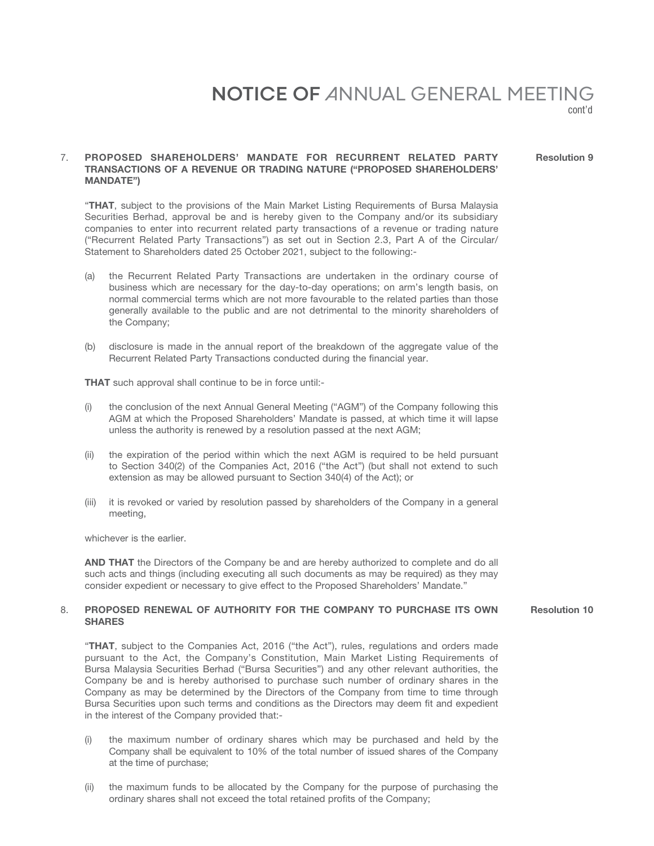# **NOTICE OF** ANNUAL GENERAL MEETING

cont'd

Resolution 9

# 7. PROPOSED SHAREHOLDERS' MANDATE FOR RECURRENT RELATED PARTY TRANSACTIONS OF A REVENUE OR TRADING NATURE ("PROPOSED SHAREHOLDERS' MANDATE")

"THAT, subject to the provisions of the Main Market Listing Requirements of Bursa Malaysia Securities Berhad, approval be and is hereby given to the Company and/or its subsidiary companies to enter into recurrent related party transactions of a revenue or trading nature ("Recurrent Related Party Transactions") as set out in Section 2.3, Part A of the Circular/ Statement to Shareholders dated 25 October 2021, subject to the following:-

- (a) the Recurrent Related Party Transactions are undertaken in the ordinary course of business which are necessary for the day-to-day operations; on arm's length basis, on normal commercial terms which are not more favourable to the related parties than those generally available to the public and are not detrimental to the minority shareholders of the Company;
- (b) disclosure is made in the annual report of the breakdown of the aggregate value of the Recurrent Related Party Transactions conducted during the financial year.

THAT such approval shall continue to be in force until:-

- (i) the conclusion of the next Annual General Meeting ("AGM") of the Company following this AGM at which the Proposed Shareholders' Mandate is passed, at which time it will lapse unless the authority is renewed by a resolution passed at the next AGM;
- (ii) the expiration of the period within which the next AGM is required to be held pursuant to Section 340(2) of the Companies Act, 2016 ("the Act") (but shall not extend to such extension as may be allowed pursuant to Section 340(4) of the Act); or
- (iii) it is revoked or varied by resolution passed by shareholders of the Company in a general meeting,

whichever is the earlier.

AND THAT the Directors of the Company be and are hereby authorized to complete and do all such acts and things (including executing all such documents as may be required) as they may consider expedient or necessary to give effect to the Proposed Shareholders' Mandate."

# 8. PROPOSED RENEWAL OF AUTHORITY FOR THE COMPANY TO PURCHASE ITS OWN **SHARES**

Resolution 10

"THAT, subject to the Companies Act, 2016 ("the Act"), rules, regulations and orders made pursuant to the Act, the Company's Constitution, Main Market Listing Requirements of Bursa Malaysia Securities Berhad ("Bursa Securities") and any other relevant authorities, the Company be and is hereby authorised to purchase such number of ordinary shares in the Company as may be determined by the Directors of the Company from time to time through Bursa Securities upon such terms and conditions as the Directors may deem fit and expedient in the interest of the Company provided that:-

- (i) the maximum number of ordinary shares which may be purchased and held by the Company shall be equivalent to 10% of the total number of issued shares of the Company at the time of purchase;
- (ii) the maximum funds to be allocated by the Company for the purpose of purchasing the ordinary shares shall not exceed the total retained profits of the Company;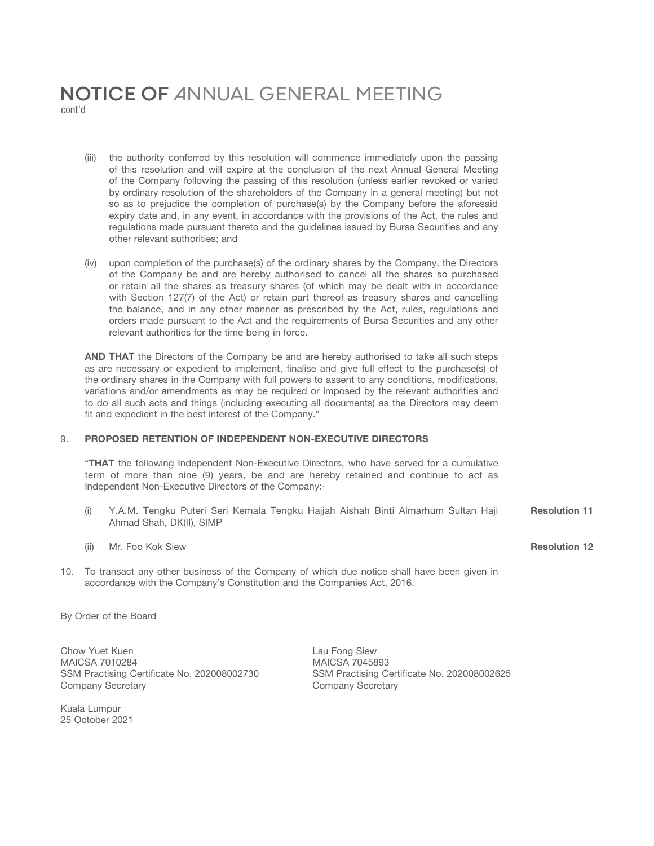# **NOTICE OF** ANNUAL GENERAL MEETING cont'd

- (iii) the authority conferred by this resolution will commence immediately upon the passing of this resolution and will expire at the conclusion of the next Annual General Meeting of the Company following the passing of this resolution (unless earlier revoked or varied by ordinary resolution of the shareholders of the Company in a general meeting) but not so as to prejudice the completion of purchase(s) by the Company before the aforesaid expiry date and, in any event, in accordance with the provisions of the Act, the rules and regulations made pursuant thereto and the guidelines issued by Bursa Securities and any other relevant authorities; and
- (iv) upon completion of the purchase(s) of the ordinary shares by the Company, the Directors of the Company be and are hereby authorised to cancel all the shares so purchased or retain all the shares as treasury shares (of which may be dealt with in accordance with Section 127(7) of the Act) or retain part thereof as treasury shares and cancelling the balance, and in any other manner as prescribed by the Act, rules, regulations and orders made pursuant to the Act and the requirements of Bursa Securities and any other relevant authorities for the time being in force.

AND THAT the Directors of the Company be and are hereby authorised to take all such steps as are necessary or expedient to implement, finalise and give full effect to the purchase(s) of the ordinary shares in the Company with full powers to assent to any conditions, modifications, variations and/or amendments as may be required or imposed by the relevant authorities and to do all such acts and things (including executing all documents) as the Directors may deem fit and expedient in the best interest of the Company."

# 9. PROPOSED RETENTION OF INDEPENDENT NON-EXECUTIVE DIRECTORS

"THAT the following Independent Non-Executive Directors, who have served for a cumulative term of more than nine (9) years, be and are hereby retained and continue to act as Independent Non-Executive Directors of the Company:-

- (i) Y.A.M. Tengku Puteri Seri Kemala Tengku Hajjah Aishah Binti Almarhum Sultan Haji Ahmad Shah, DK(II), SIMP Resolution 11
- (ii) Mr. Foo Kok Siew **Resolution 12**
- 10. To transact any other business of the Company of which due notice shall have been given in accordance with the Company's Constitution and the Companies Act, 2016.

By Order of the Board

Chow Yuet Kuen **Lau Fong Siew** Lau Fong Siew MAICSA 7010284 MAICSA 7045893 SSM Practising Certificate No. 202008002730 SSM Practising Certificate No. 202008002625 Company Secretary **Company Secretary** 

Kuala Lumpur 25 October 2021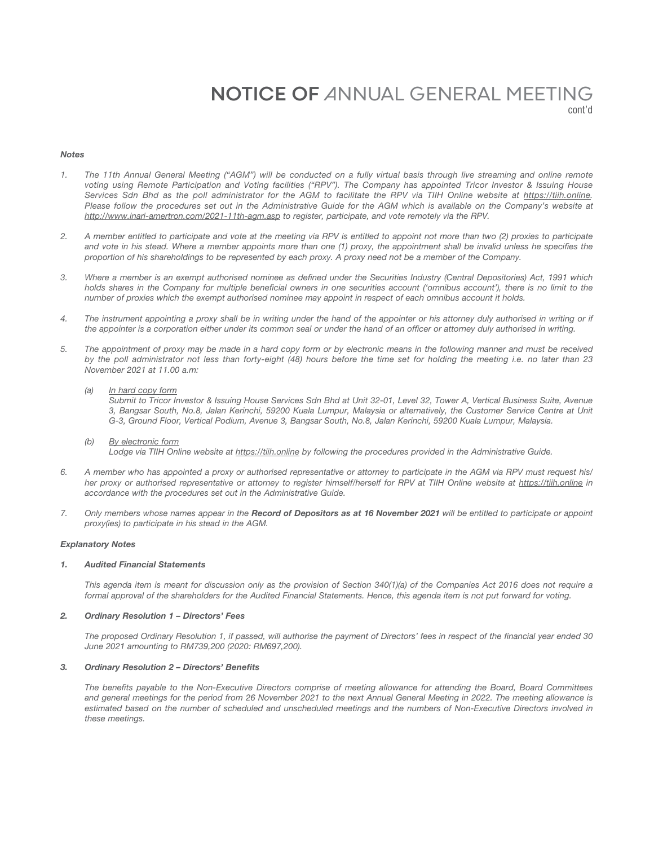# **NOTICE OF** ANNUAL GENERAL MEETING cont'd

*Notes*

- *1. The 11th Annual General Meeting ("AGM") will be conducted on a fully virtual basis through live streaming and online remote voting using Remote Participation and Voting facilities ("RPV"). The Company has appointed Tricor Investor & Issuing House Services Sdn Bhd as the poll administrator for the AGM to facilitate the RPV via TIIH Online website at https://tiih.online.*  Please follow the procedures set out in the Administrative Guide for the AGM which is available on the Company's website at *http://www.inari-amertron.com/2021-11th-agm.asp to register, participate, and vote remotely via the RPV.*
- *2. A member entitled to participate and vote at the meeting via RPV is entitled to appoint not more than two (2) proxies to participate*  and vote in his stead. Where a member appoints more than one (1) proxy, the appointment shall be invalid unless he specifies the *proportion of his shareholdings to be represented by each proxy. A proxy need not be a member of the Company.*
- *3. Where a member is an exempt authorised nominee as defined under the Securities Industry (Central Depositories) Act, 1991 which*  holds shares in the Company for multiple beneficial owners in one securities account ('omnibus account'), there is no limit to the *number of proxies which the exempt authorised nominee may appoint in respect of each omnibus account it holds.*
- *4. The instrument appointing a proxy shall be in writing under the hand of the appointer or his attorney duly authorised in writing or if the appointer is a corporation either under its common seal or under the hand of an officer or attorney duly authorised in writing.*
- *5. The appointment of proxy may be made in a hard copy form or by electronic means in the following manner and must be received by the poll administrator not less than forty-eight (48) hours before the time set for holding the meeting i.e. no later than 23 November 2021 at 11.00 a.m:*
	- *(a) In hard copy form*

 *Submit to Tricor Investor & Issuing House Services Sdn Bhd at Unit 32-01, Level 32, Tower A, Vertical Business Suite, Avenue 3, Bangsar South, No.8, Jalan Kerinchi, 59200 Kuala Lumpur, Malaysia or alternatively, the Customer Service Centre at Unit G-3, Ground Floor, Vertical Podium, Avenue 3, Bangsar South, No.8, Jalan Kerinchi, 59200 Kuala Lumpur, Malaysia.*

- *(b) By electronic form Lodge via TIIH Online website at https://tiih.online by following the procedures provided in the Administrative Guide.*
- *6. A member who has appointed a proxy or authorised representative or attorney to participate in the AGM via RPV must request his/ her proxy or authorised representative or attorney to register himself/herself for RPV at TIIH Online website at https://tiih.online in accordance with the procedures set out in the Administrative Guide.*
- *7. Only members whose names appear in the Record of Depositors as at 16 November 2021 will be entitled to participate or appoint proxy(ies) to participate in his stead in the AGM.*

#### *Explanatory Notes*

#### *1. Audited Financial Statements*

*This agenda item is meant for discussion only as the provision of Section 340(1)(a) of the Companies Act 2016 does not require a formal approval of the shareholders for the Audited Financial Statements. Hence, this agenda item is not put forward for voting.*

### *2. Ordinary Resolution 1 – Directors' Fees*

*The proposed Ordinary Resolution 1, if passed, will authorise the payment of Directors' fees in respect of the financial year ended 30 June 2021 amounting to RM739,200 (2020: RM697,200).* 

#### *3. Ordinary Resolution 2 – Directors' Benefits*

*The benefits payable to the Non-Executive Directors comprise of meeting allowance for attending the Board, Board Committees and general meetings for the period from 26 November 2021 to the next Annual General Meeting in 2022. The meeting allowance is*  estimated based on the number of scheduled and unscheduled meetings and the numbers of Non-Executive Directors involved in *these meetings.*